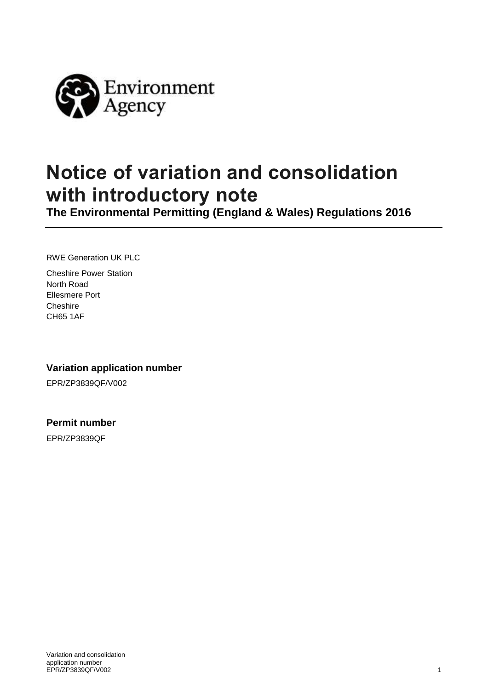

# **Notice of variation and consolidation with introductory note**

**The Environmental Permitting (England & Wales) Regulations 2016**

RWE Generation UK PLC

Cheshire Power Station North Road Ellesmere Port **Cheshire** CH65 1AF

**Variation application number**

EPR/ZP3839QF/V002

**Permit number**

EPR/ZP3839QF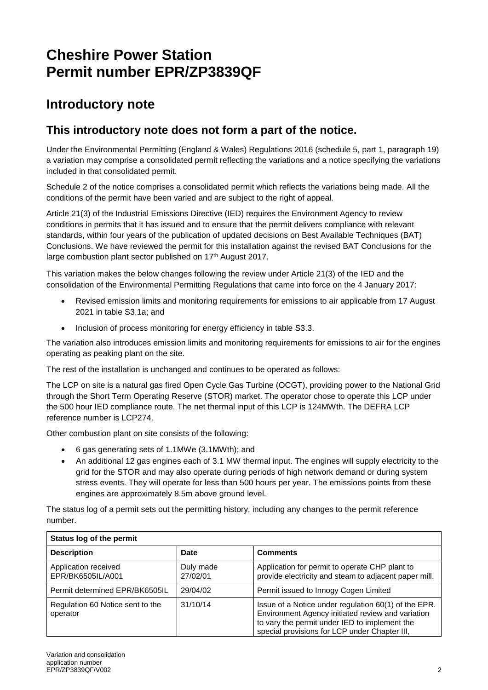## **Cheshire Power Station Permit number EPR/ZP3839QF**

### **Introductory note**

#### **This introductory note does not form a part of the notice.**

Under the Environmental Permitting (England & Wales) Regulations 2016 (schedule 5, part 1, paragraph 19) a variation may comprise a consolidated permit reflecting the variations and a notice specifying the variations included in that consolidated permit.

Schedule 2 of the notice comprises a consolidated permit which reflects the variations being made. All the conditions of the permit have been varied and are subject to the right of appeal.

Article 21(3) of the Industrial Emissions Directive (IED) requires the Environment Agency to review conditions in permits that it has issued and to ensure that the permit delivers compliance with relevant standards, within four years of the publication of updated decisions on Best Available Techniques (BAT) Conclusions. We have reviewed the permit for this installation against the revised BAT Conclusions for the large combustion plant sector published on 17<sup>th</sup> August 2017.

This variation makes the below changes following the review under Article 21(3) of the IED and the consolidation of the Environmental Permitting Regulations that came into force on the 4 January 2017:

- Revised emission limits and monitoring requirements for emissions to air applicable from 17 August 2021 in table S3.1a; and
- Inclusion of process monitoring for energy efficiency in table S3.3.

The variation also introduces emission limits and monitoring requirements for emissions to air for the engines operating as peaking plant on the site.

The rest of the installation is unchanged and continues to be operated as follows:

The LCP on site is a natural gas fired Open Cycle Gas Turbine (OCGT), providing power to the National Grid through the Short Term Operating Reserve (STOR) market. The operator chose to operate this LCP under the 500 hour IED compliance route. The net thermal input of this LCP is 124MWth. The DEFRA LCP reference number is LCP274.

Other combustion plant on site consists of the following:

- 6 gas generating sets of 1.1MWe (3.1MWth); and
- An additional 12 gas engines each of 3.1 MW thermal input. The engines will supply electricity to the grid for the STOR and may also operate during periods of high network demand or during system stress events. They will operate for less than 500 hours per year. The emissions points from these engines are approximately 8.5m above ground level.

The status log of a permit sets out the permitting history, including any changes to the permit reference number.

| Status log of the permit                     |                       |                                                                                                                                                                                                             |  |  |
|----------------------------------------------|-----------------------|-------------------------------------------------------------------------------------------------------------------------------------------------------------------------------------------------------------|--|--|
| <b>Description</b>                           | Date                  | <b>Comments</b>                                                                                                                                                                                             |  |  |
| Application received<br>EPR/BK6505IL/A001    | Duly made<br>27/02/01 | Application for permit to operate CHP plant to<br>provide electricity and steam to adjacent paper mill.                                                                                                     |  |  |
| Permit determined EPR/BK6505IL               | 29/04/02              | Permit issued to Innogy Cogen Limited                                                                                                                                                                       |  |  |
| Regulation 60 Notice sent to the<br>operator | 31/10/14              | Issue of a Notice under regulation 60(1) of the EPR.<br>Environment Agency initiated review and variation<br>to vary the permit under IED to implement the<br>special provisions for LCP under Chapter III, |  |  |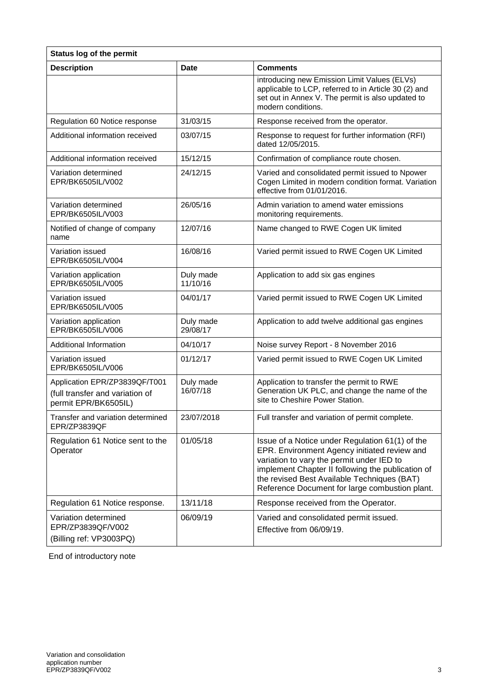| Status log of the permit                                             |                       |                                                                                                                                                                                                                                                                                                    |  |  |
|----------------------------------------------------------------------|-----------------------|----------------------------------------------------------------------------------------------------------------------------------------------------------------------------------------------------------------------------------------------------------------------------------------------------|--|--|
| <b>Description</b>                                                   | <b>Date</b>           | <b>Comments</b>                                                                                                                                                                                                                                                                                    |  |  |
|                                                                      |                       | introducing new Emission Limit Values (ELVs)<br>applicable to LCP, referred to in Article 30 (2) and<br>set out in Annex V. The permit is also updated to<br>modern conditions.                                                                                                                    |  |  |
| Regulation 60 Notice response                                        | 31/03/15              | Response received from the operator.                                                                                                                                                                                                                                                               |  |  |
| Additional information received                                      | 03/07/15              | Response to request for further information (RFI)<br>dated 12/05/2015.                                                                                                                                                                                                                             |  |  |
| Additional information received                                      | 15/12/15              | Confirmation of compliance route chosen.                                                                                                                                                                                                                                                           |  |  |
| Variation determined<br>EPR/BK6505IL/V002                            | 24/12/15              | Varied and consolidated permit issued to Npower<br>Cogen Limited in modern condition format. Variation<br>effective from 01/01/2016.                                                                                                                                                               |  |  |
| Variation determined<br>EPR/BK6505IL/V003                            | 26/05/16              | Admin variation to amend water emissions<br>monitoring requirements.                                                                                                                                                                                                                               |  |  |
| Notified of change of company<br>name                                | 12/07/16              | Name changed to RWE Cogen UK limited                                                                                                                                                                                                                                                               |  |  |
| Variation issued<br>EPR/BK6505IL/V004                                | 16/08/16              | Varied permit issued to RWE Cogen UK Limited                                                                                                                                                                                                                                                       |  |  |
| Variation application<br>EPR/BK6505IL/V005                           | Duly made<br>11/10/16 | Application to add six gas engines                                                                                                                                                                                                                                                                 |  |  |
| Variation issued<br>EPR/BK6505IL/V005                                | 04/01/17              | Varied permit issued to RWE Cogen UK Limited                                                                                                                                                                                                                                                       |  |  |
| Variation application<br>EPR/BK6505IL/V006                           | Duly made<br>29/08/17 | Application to add twelve additional gas engines                                                                                                                                                                                                                                                   |  |  |
| <b>Additional Information</b>                                        | 04/10/17              | Noise survey Report - 8 November 2016                                                                                                                                                                                                                                                              |  |  |
| Variation issued<br>EPR/BK6505IL/V006                                | 01/12/17              | Varied permit issued to RWE Cogen UK Limited                                                                                                                                                                                                                                                       |  |  |
| Application EPR/ZP3839QF/T001                                        | Duly made             | Application to transfer the permit to RWE                                                                                                                                                                                                                                                          |  |  |
| (full transfer and variation of<br>permit EPR/BK6505IL)              | 16/07/18              | Generation UK PLC, and change the name of the<br>site to Cheshire Power Station.                                                                                                                                                                                                                   |  |  |
| Transfer and variation determined<br>EPR/ZP3839QF                    | 23/07/2018            | Full transfer and variation of permit complete.                                                                                                                                                                                                                                                    |  |  |
| Regulation 61 Notice sent to the<br>Operator                         | 01/05/18              | Issue of a Notice under Regulation 61(1) of the<br>EPR. Environment Agency initiated review and<br>variation to vary the permit under IED to<br>implement Chapter II following the publication of<br>the revised Best Available Techniques (BAT)<br>Reference Document for large combustion plant. |  |  |
| Regulation 61 Notice response.                                       | 13/11/18              | Response received from the Operator.                                                                                                                                                                                                                                                               |  |  |
| Variation determined<br>EPR/ZP3839QF/V002<br>(Billing ref: VP3003PQ) | 06/09/19              | Varied and consolidated permit issued.<br>Effective from 06/09/19.                                                                                                                                                                                                                                 |  |  |

End of introductory note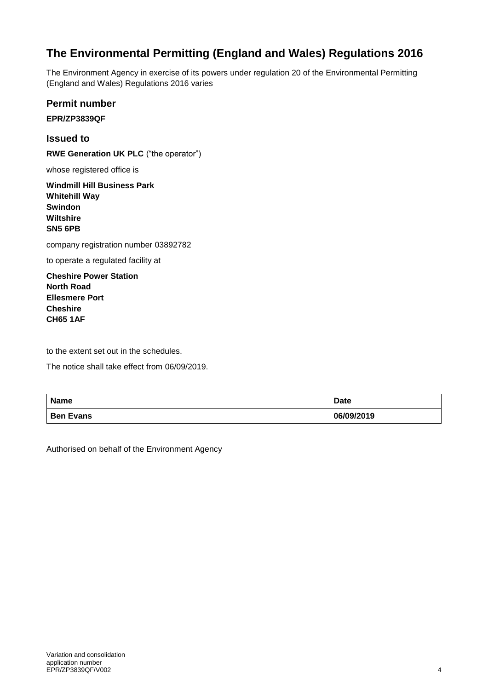### **The Environmental Permitting (England and Wales) Regulations 2016**

The Environment Agency in exercise of its powers under regulation 20 of the Environmental Permitting (England and Wales) Regulations 2016 varies

**Permit number**

**EPR/ZP3839QF**

**Issued to RWE Generation UK PLC** ("the operator")

whose registered office is

**Windmill Hill Business Park Whitehill Way Swindon Wiltshire SN5 6PB**

company registration number 03892782

to operate a regulated facility at

**Cheshire Power Station North Road Ellesmere Port Cheshire CH65 1AF**

to the extent set out in the schedules.

The notice shall take effect from 06/09/2019.

| <b>Name</b>      | <b>Date</b> |
|------------------|-------------|
| <b>Ben Evans</b> | 06/09/2019  |

Authorised on behalf of the Environment Agency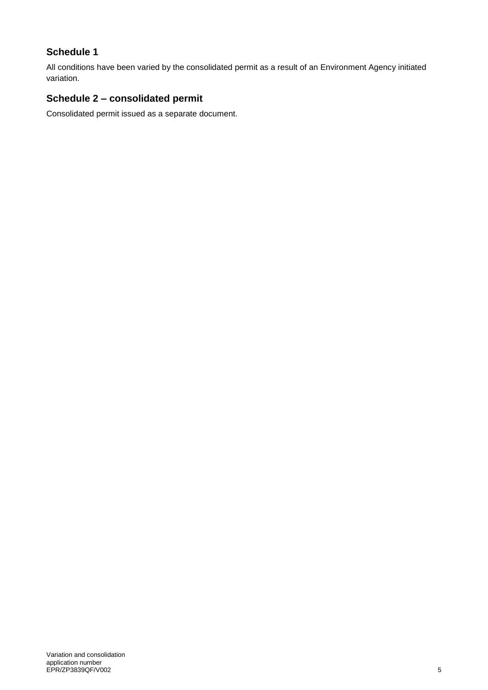#### **Schedule 1**

All conditions have been varied by the consolidated permit as a result of an Environment Agency initiated variation.

#### **Schedule 2 – consolidated permit**

Consolidated permit issued as a separate document.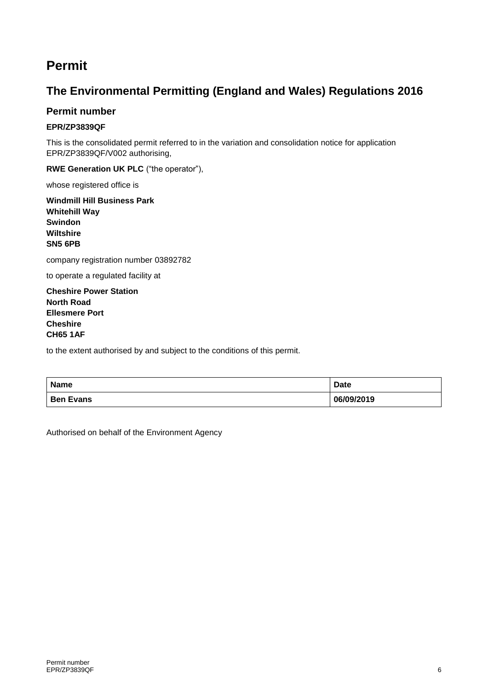### **Permit**

#### **The Environmental Permitting (England and Wales) Regulations 2016**

#### **Permit number**

#### **EPR/ZP3839QF**

This is the consolidated permit referred to in the variation and consolidation notice for application EPR/ZP3839QF/V002 authorising,

**RWE Generation UK PLC** ("the operator"),

whose registered office is

**Windmill Hill Business Park Whitehill Way Swindon Wiltshire SN5 6PB**

company registration number 03892782

to operate a regulated facility at

**Cheshire Power Station North Road Ellesmere Port Cheshire CH65 1AF**

to the extent authorised by and subject to the conditions of this permit.

| <b>Name</b>      | <b>Date</b> |
|------------------|-------------|
| <b>Ben Evans</b> | 06/09/2019  |

Authorised on behalf of the Environment Agency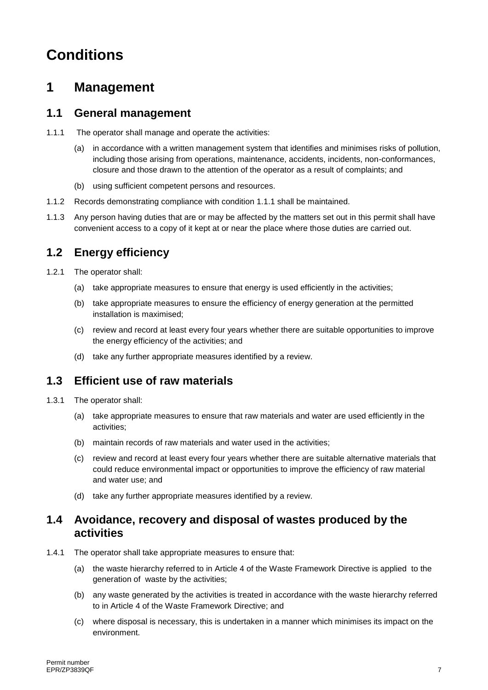## **Conditions**

## **1 Management**

#### **1.1 General management**

- 1.1.1 The operator shall manage and operate the activities:
	- (a) in accordance with a written management system that identifies and minimises risks of pollution, including those arising from operations, maintenance, accidents, incidents, non-conformances, closure and those drawn to the attention of the operator as a result of complaints; and
	- (b) using sufficient competent persons and resources.
- 1.1.2 Records demonstrating compliance with condition 1.1.1 shall be maintained.
- 1.1.3 Any person having duties that are or may be affected by the matters set out in this permit shall have convenient access to a copy of it kept at or near the place where those duties are carried out.

#### **1.2 Energy efficiency**

- 1.2.1 The operator shall:
	- (a) take appropriate measures to ensure that energy is used efficiently in the activities;
	- (b) take appropriate measures to ensure the efficiency of energy generation at the permitted installation is maximised;
	- (c) review and record at least every four years whether there are suitable opportunities to improve the energy efficiency of the activities; and
	- (d) take any further appropriate measures identified by a review.

#### **1.3 Efficient use of raw materials**

- 1.3.1 The operator shall:
	- (a) take appropriate measures to ensure that raw materials and water are used efficiently in the activities;
	- (b) maintain records of raw materials and water used in the activities;
	- (c) review and record at least every four years whether there are suitable alternative materials that could reduce environmental impact or opportunities to improve the efficiency of raw material and water use; and
	- (d) take any further appropriate measures identified by a review.

#### **1.4 Avoidance, recovery and disposal of wastes produced by the activities**

- 1.4.1 The operator shall take appropriate measures to ensure that:
	- (a) the waste hierarchy referred to in Article 4 of the Waste Framework Directive is applied to the generation of waste by the activities;
	- (b) any waste generated by the activities is treated in accordance with the waste hierarchy referred to in Article 4 of the Waste Framework Directive; and
	- (c) where disposal is necessary, this is undertaken in a manner which minimises its impact on the environment.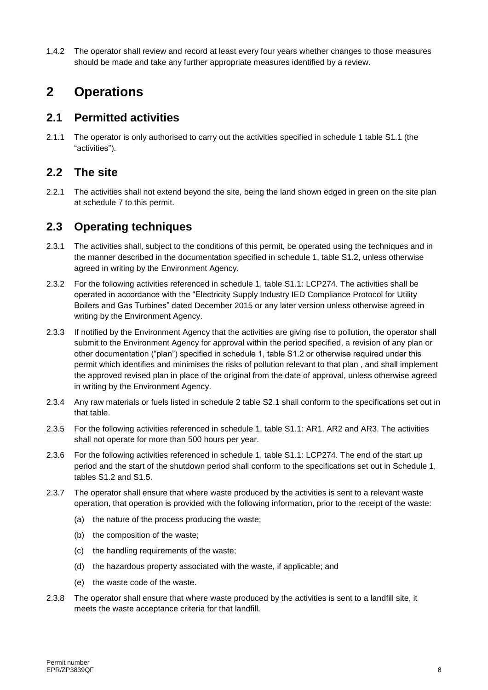1.4.2 The operator shall review and record at least every four years whether changes to those measures should be made and take any further appropriate measures identified by a review.

## **2 Operations**

#### **2.1 Permitted activities**

2.1.1 The operator is only authorised to carry out the activities specified in schedule 1 table S1.1 (the "activities").

#### **2.2 The site**

2.2.1 The activities shall not extend beyond the site, being the land shown edged in green on the site plan at schedule 7 to this permit.

#### **2.3 Operating techniques**

- 2.3.1 The activities shall, subject to the conditions of this permit, be operated using the techniques and in the manner described in the documentation specified in schedule 1, table S1.2, unless otherwise agreed in writing by the Environment Agency.
- 2.3.2 For the following activities referenced in schedule 1, table S1.1: LCP274. The activities shall be operated in accordance with the "Electricity Supply Industry IED Compliance Protocol for Utility Boilers and Gas Turbines" dated December 2015 or any later version unless otherwise agreed in writing by the Environment Agency.
- 2.3.3 If notified by the Environment Agency that the activities are giving rise to pollution, the operator shall submit to the Environment Agency for approval within the period specified, a revision of any plan or other documentation ("plan") specified in schedule 1, table S1.2 or otherwise required under this permit which identifies and minimises the risks of pollution relevant to that plan , and shall implement the approved revised plan in place of the original from the date of approval, unless otherwise agreed in writing by the Environment Agency.
- 2.3.4 Any raw materials or fuels listed in schedule 2 table S2.1 shall conform to the specifications set out in that table.
- 2.3.5 For the following activities referenced in schedule 1, table S1.1: AR1, AR2 and AR3. The activities shall not operate for more than 500 hours per year.
- 2.3.6 For the following activities referenced in schedule 1, table S1.1: LCP274. The end of the start up period and the start of the shutdown period shall conform to the specifications set out in Schedule 1, tables S1.2 and S1.5.
- 2.3.7 The operator shall ensure that where waste produced by the activities is sent to a relevant waste operation, that operation is provided with the following information, prior to the receipt of the waste:
	- (a) the nature of the process producing the waste;
	- (b) the composition of the waste;
	- (c) the handling requirements of the waste;
	- (d) the hazardous property associated with the waste, if applicable; and
	- (e) the waste code of the waste.
- 2.3.8 The operator shall ensure that where waste produced by the activities is sent to a landfill site, it meets the waste acceptance criteria for that landfill.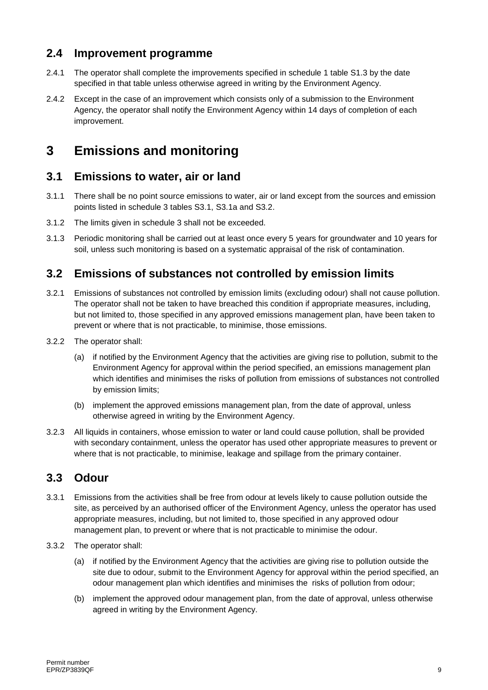#### **2.4 Improvement programme**

- 2.4.1 The operator shall complete the improvements specified in schedule 1 table S1.3 by the date specified in that table unless otherwise agreed in writing by the Environment Agency.
- 2.4.2 Except in the case of an improvement which consists only of a submission to the Environment Agency, the operator shall notify the Environment Agency within 14 days of completion of each improvement.

## **3 Emissions and monitoring**

#### **3.1 Emissions to water, air or land**

- 3.1.1 There shall be no point source emissions to water, air or land except from the sources and emission points listed in schedule 3 tables S3.1, S3.1a and S3.2.
- 3.1.2 The limits given in schedule 3 shall not be exceeded.
- 3.1.3 Periodic monitoring shall be carried out at least once every 5 years for groundwater and 10 years for soil, unless such monitoring is based on a systematic appraisal of the risk of contamination.

#### **3.2 Emissions of substances not controlled by emission limits**

- 3.2.1 Emissions of substances not controlled by emission limits (excluding odour) shall not cause pollution. The operator shall not be taken to have breached this condition if appropriate measures, including, but not limited to, those specified in any approved emissions management plan, have been taken to prevent or where that is not practicable, to minimise, those emissions.
- 3.2.2 The operator shall:
	- (a) if notified by the Environment Agency that the activities are giving rise to pollution, submit to the Environment Agency for approval within the period specified, an emissions management plan which identifies and minimises the risks of pollution from emissions of substances not controlled by emission limits;
	- (b) implement the approved emissions management plan, from the date of approval, unless otherwise agreed in writing by the Environment Agency.
- 3.2.3 All liquids in containers, whose emission to water or land could cause pollution, shall be provided with secondary containment, unless the operator has used other appropriate measures to prevent or where that is not practicable, to minimise, leakage and spillage from the primary container.

#### **3.3 Odour**

- 3.3.1 Emissions from the activities shall be free from odour at levels likely to cause pollution outside the site, as perceived by an authorised officer of the Environment Agency, unless the operator has used appropriate measures, including, but not limited to, those specified in any approved odour management plan, to prevent or where that is not practicable to minimise the odour.
- 3.3.2 The operator shall:
	- (a) if notified by the Environment Agency that the activities are giving rise to pollution outside the site due to odour, submit to the Environment Agency for approval within the period specified, an odour management plan which identifies and minimises the risks of pollution from odour;
	- (b) implement the approved odour management plan, from the date of approval, unless otherwise agreed in writing by the Environment Agency.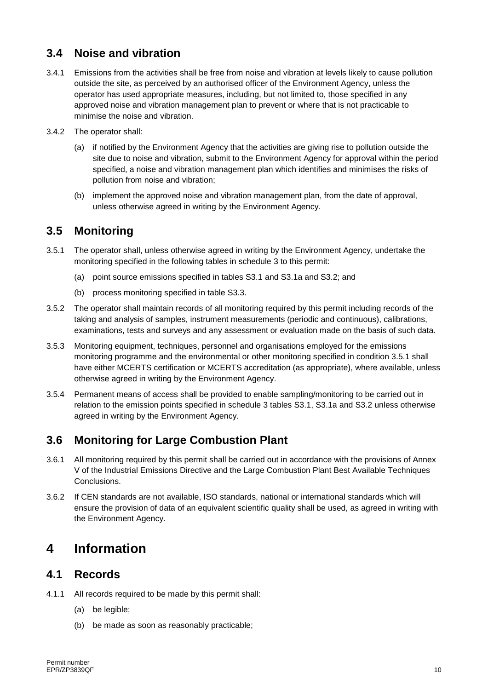#### **3.4 Noise and vibration**

- 3.4.1 Emissions from the activities shall be free from noise and vibration at levels likely to cause pollution outside the site, as perceived by an authorised officer of the Environment Agency, unless the operator has used appropriate measures, including, but not limited to, those specified in any approved noise and vibration management plan to prevent or where that is not practicable to minimise the noise and vibration.
- 3.4.2 The operator shall:
	- (a) if notified by the Environment Agency that the activities are giving rise to pollution outside the site due to noise and vibration, submit to the Environment Agency for approval within the period specified, a noise and vibration management plan which identifies and minimises the risks of pollution from noise and vibration;
	- (b) implement the approved noise and vibration management plan, from the date of approval, unless otherwise agreed in writing by the Environment Agency.

#### **3.5 Monitoring**

- 3.5.1 The operator shall, unless otherwise agreed in writing by the Environment Agency, undertake the monitoring specified in the following tables in schedule 3 to this permit:
	- (a) point source emissions specified in tables S3.1 and S3.1a and S3.2; and
	- (b) process monitoring specified in table S3.3.
- 3.5.2 The operator shall maintain records of all monitoring required by this permit including records of the taking and analysis of samples, instrument measurements (periodic and continuous), calibrations, examinations, tests and surveys and any assessment or evaluation made on the basis of such data.
- 3.5.3 Monitoring equipment, techniques, personnel and organisations employed for the emissions monitoring programme and the environmental or other monitoring specified in condition 3.5.1 shall have either MCERTS certification or MCERTS accreditation (as appropriate), where available, unless otherwise agreed in writing by the Environment Agency.
- 3.5.4 Permanent means of access shall be provided to enable sampling/monitoring to be carried out in relation to the emission points specified in schedule 3 tables S3.1, S3.1a and S3.2 unless otherwise agreed in writing by the Environment Agency.

#### **3.6 Monitoring for Large Combustion Plant**

- 3.6.1 All monitoring required by this permit shall be carried out in accordance with the provisions of Annex V of the Industrial Emissions Directive and the Large Combustion Plant Best Available Techniques **Conclusions**
- 3.6.2 If CEN standards are not available, ISO standards, national or international standards which will ensure the provision of data of an equivalent scientific quality shall be used, as agreed in writing with the Environment Agency.

### **4 Information**

#### **4.1 Records**

- 4.1.1 All records required to be made by this permit shall:
	- (a) be legible;
	- (b) be made as soon as reasonably practicable;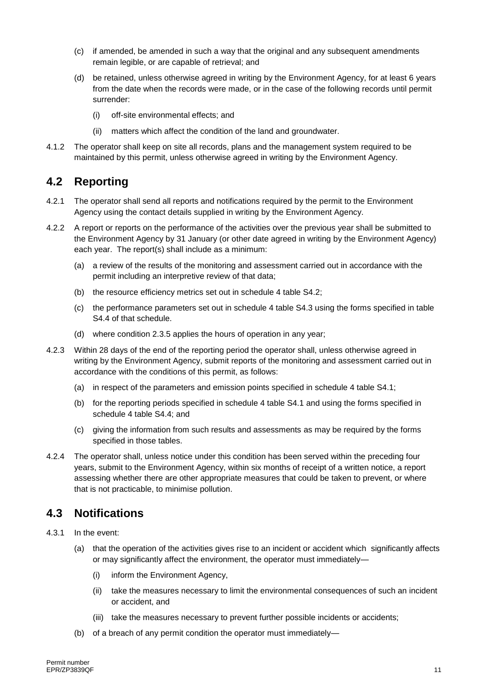- (c) if amended, be amended in such a way that the original and any subsequent amendments remain legible, or are capable of retrieval; and
- (d) be retained, unless otherwise agreed in writing by the Environment Agency, for at least 6 years from the date when the records were made, or in the case of the following records until permit surrender:
	- (i) off-site environmental effects; and
	- (ii) matters which affect the condition of the land and groundwater.
- 4.1.2 The operator shall keep on site all records, plans and the management system required to be maintained by this permit, unless otherwise agreed in writing by the Environment Agency.

#### **4.2 Reporting**

- 4.2.1 The operator shall send all reports and notifications required by the permit to the Environment Agency using the contact details supplied in writing by the Environment Agency.
- 4.2.2 A report or reports on the performance of the activities over the previous year shall be submitted to the Environment Agency by 31 January (or other date agreed in writing by the Environment Agency) each year. The report(s) shall include as a minimum:
	- (a) a review of the results of the monitoring and assessment carried out in accordance with the permit including an interpretive review of that data;
	- (b) the resource efficiency metrics set out in schedule 4 table S4.2;
	- (c) the performance parameters set out in schedule 4 table S4.3 using the forms specified in table S4.4 of that schedule.
	- (d) where condition 2.3.5 applies the hours of operation in any year;
- 4.2.3 Within 28 days of the end of the reporting period the operator shall, unless otherwise agreed in writing by the Environment Agency, submit reports of the monitoring and assessment carried out in accordance with the conditions of this permit, as follows:
	- (a) in respect of the parameters and emission points specified in schedule 4 table S4.1;
	- (b) for the reporting periods specified in schedule 4 table S4.1 and using the forms specified in schedule 4 table S4.4; and
	- (c) giving the information from such results and assessments as may be required by the forms specified in those tables.
- 4.2.4 The operator shall, unless notice under this condition has been served within the preceding four years, submit to the Environment Agency, within six months of receipt of a written notice, a report assessing whether there are other appropriate measures that could be taken to prevent, or where that is not practicable, to minimise pollution.

#### **4.3 Notifications**

- 4.3.1 In the event:
	- (a) that the operation of the activities gives rise to an incident or accident which significantly affects or may significantly affect the environment, the operator must immediately—
		- (i) inform the Environment Agency,
		- (ii) take the measures necessary to limit the environmental consequences of such an incident or accident, and
		- (iii) take the measures necessary to prevent further possible incidents or accidents;
	- (b) of a breach of any permit condition the operator must immediately—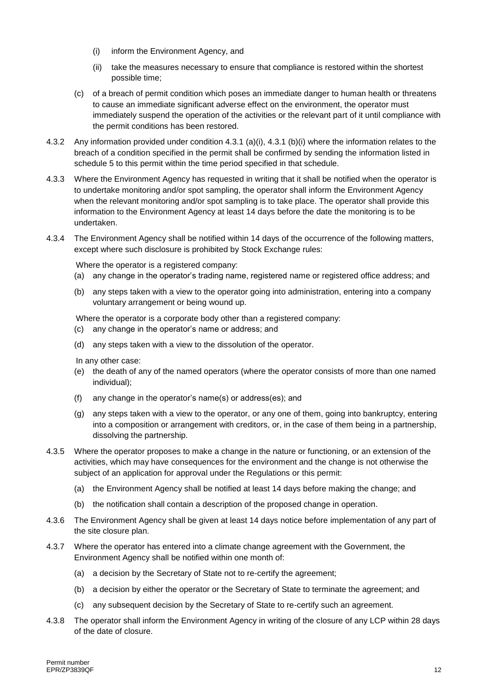- (i) inform the Environment Agency, and
- (ii) take the measures necessary to ensure that compliance is restored within the shortest possible time;
- (c) of a breach of permit condition which poses an immediate danger to human health or threatens to cause an immediate significant adverse effect on the environment, the operator must immediately suspend the operation of the activities or the relevant part of it until compliance with the permit conditions has been restored.
- 4.3.2 Any information provided under condition 4.3.1 (a)(i), 4.3.1 (b)(i) where the information relates to the breach of a condition specified in the permit shall be confirmed by sending the information listed in schedule 5 to this permit within the time period specified in that schedule.
- 4.3.3 Where the Environment Agency has requested in writing that it shall be notified when the operator is to undertake monitoring and/or spot sampling, the operator shall inform the Environment Agency when the relevant monitoring and/or spot sampling is to take place. The operator shall provide this information to the Environment Agency at least 14 days before the date the monitoring is to be undertaken.
- 4.3.4 The Environment Agency shall be notified within 14 days of the occurrence of the following matters, except where such disclosure is prohibited by Stock Exchange rules:

Where the operator is a registered company:

- (a) any change in the operator's trading name, registered name or registered office address; and
- (b) any steps taken with a view to the operator going into administration, entering into a company voluntary arrangement or being wound up.

Where the operator is a corporate body other than a registered company:

- (c) any change in the operator's name or address; and
- (d) any steps taken with a view to the dissolution of the operator.

In any other case:

- (e) the death of any of the named operators (where the operator consists of more than one named individual);
- (f) any change in the operator's name(s) or address(es); and
- (g) any steps taken with a view to the operator, or any one of them, going into bankruptcy, entering into a composition or arrangement with creditors, or, in the case of them being in a partnership, dissolving the partnership.
- 4.3.5 Where the operator proposes to make a change in the nature or functioning, or an extension of the activities, which may have consequences for the environment and the change is not otherwise the subject of an application for approval under the Regulations or this permit:
	- (a) the Environment Agency shall be notified at least 14 days before making the change; and
	- (b) the notification shall contain a description of the proposed change in operation.
- 4.3.6 The Environment Agency shall be given at least 14 days notice before implementation of any part of the site closure plan.
- 4.3.7 Where the operator has entered into a climate change agreement with the Government, the Environment Agency shall be notified within one month of:
	- (a) a decision by the Secretary of State not to re-certify the agreement;
	- (b) a decision by either the operator or the Secretary of State to terminate the agreement; and
	- (c) any subsequent decision by the Secretary of State to re-certify such an agreement.
- 4.3.8 The operator shall inform the Environment Agency in writing of the closure of any LCP within 28 days of the date of closure.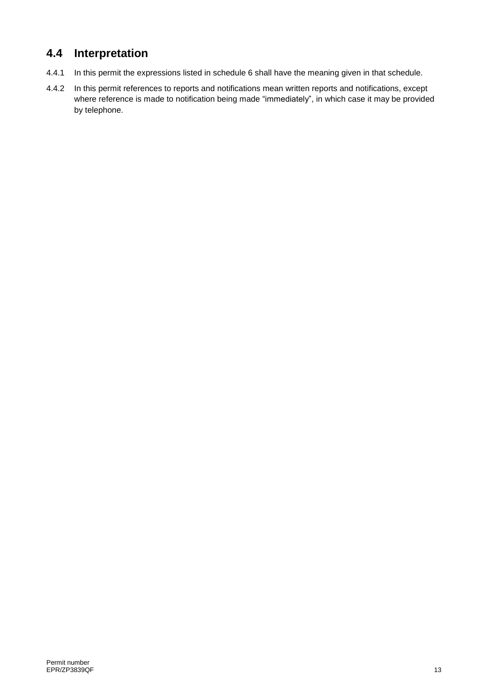## **4.4 Interpretation**

- 4.4.1 In this permit the expressions listed in schedule 6 shall have the meaning given in that schedule.
- 4.4.2 In this permit references to reports and notifications mean written reports and notifications, except where reference is made to notification being made "immediately", in which case it may be provided by telephone.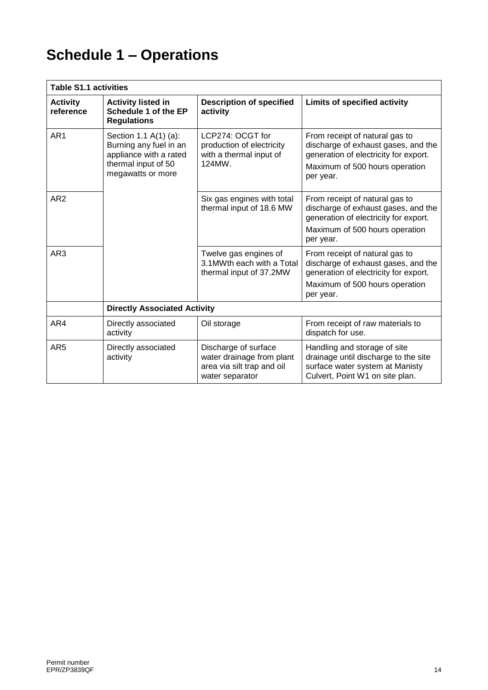# **Schedule 1 – Operations**

| <b>Table S1.1 activities</b> |                                                                                                                       |                                                                                                    |                                                                                                                                                               |  |  |
|------------------------------|-----------------------------------------------------------------------------------------------------------------------|----------------------------------------------------------------------------------------------------|---------------------------------------------------------------------------------------------------------------------------------------------------------------|--|--|
| <b>Activity</b><br>reference | <b>Activity listed in</b><br>Schedule 1 of the EP<br><b>Regulations</b>                                               | <b>Description of specified</b><br>activity                                                        | <b>Limits of specified activity</b>                                                                                                                           |  |  |
| AR <sub>1</sub>              | Section 1.1 A(1) (a):<br>Burning any fuel in an<br>appliance with a rated<br>thermal input of 50<br>megawatts or more | LCP274: OCGT for<br>production of electricity<br>with a thermal input of<br>124MW.                 | From receipt of natural gas to<br>discharge of exhaust gases, and the<br>generation of electricity for export.<br>Maximum of 500 hours operation<br>per year. |  |  |
| AR <sub>2</sub>              |                                                                                                                       | Six gas engines with total<br>thermal input of 18.6 MW                                             | From receipt of natural gas to<br>discharge of exhaust gases, and the<br>generation of electricity for export.<br>Maximum of 500 hours operation<br>per year. |  |  |
| AR <sub>3</sub>              |                                                                                                                       | Twelve gas engines of<br>3.1 MWth each with a Total<br>thermal input of 37.2MW                     | From receipt of natural gas to<br>discharge of exhaust gases, and the<br>generation of electricity for export.<br>Maximum of 500 hours operation<br>per year. |  |  |
|                              | <b>Directly Associated Activity</b>                                                                                   |                                                                                                    |                                                                                                                                                               |  |  |
| AR4                          | Directly associated<br>activity                                                                                       | Oil storage                                                                                        | From receipt of raw materials to<br>dispatch for use.                                                                                                         |  |  |
| AR <sub>5</sub>              | Directly associated<br>activity                                                                                       | Discharge of surface<br>water drainage from plant<br>area via silt trap and oil<br>water separator | Handling and storage of site<br>drainage until discharge to the site<br>surface water system at Manisty<br>Culvert, Point W1 on site plan.                    |  |  |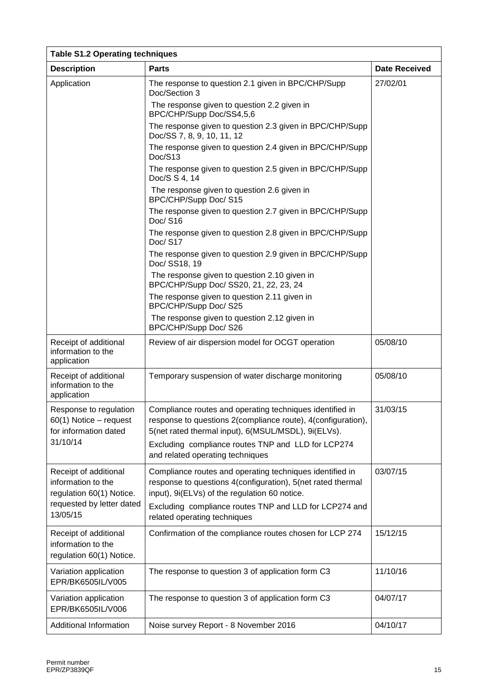| <b>Table S1.2 Operating techniques</b>                                                |                                                                                                                                                                                 |                      |  |  |  |
|---------------------------------------------------------------------------------------|---------------------------------------------------------------------------------------------------------------------------------------------------------------------------------|----------------------|--|--|--|
| <b>Description</b>                                                                    | <b>Parts</b>                                                                                                                                                                    | <b>Date Received</b> |  |  |  |
| Application                                                                           | The response to question 2.1 given in BPC/CHP/Supp<br>Doc/Section 3                                                                                                             | 27/02/01             |  |  |  |
|                                                                                       | The response given to question 2.2 given in<br>BPC/CHP/Supp Doc/SS4,5,6                                                                                                         |                      |  |  |  |
|                                                                                       | The response given to question 2.3 given in BPC/CHP/Supp<br>Doc/SS 7, 8, 9, 10, 11, 12                                                                                          |                      |  |  |  |
|                                                                                       | The response given to question 2.4 given in BPC/CHP/Supp<br>Doc/S13                                                                                                             |                      |  |  |  |
|                                                                                       | The response given to question 2.5 given in BPC/CHP/Supp<br>Doc/S S 4, 14                                                                                                       |                      |  |  |  |
|                                                                                       | The response given to question 2.6 given in<br>BPC/CHP/Supp Doc/ S15                                                                                                            |                      |  |  |  |
|                                                                                       | The response given to question 2.7 given in BPC/CHP/Supp<br>Doc/S16                                                                                                             |                      |  |  |  |
|                                                                                       | The response given to question 2.8 given in BPC/CHP/Supp<br>Doc/S17                                                                                                             |                      |  |  |  |
|                                                                                       | The response given to question 2.9 given in BPC/CHP/Supp<br>Doc/ SS18, 19                                                                                                       |                      |  |  |  |
|                                                                                       | The response given to question 2.10 given in<br>BPC/CHP/Supp Doc/ SS20, 21, 22, 23, 24                                                                                          |                      |  |  |  |
|                                                                                       | The response given to question 2.11 given in<br>BPC/CHP/Supp Doc/ S25                                                                                                           |                      |  |  |  |
|                                                                                       | The response given to question 2.12 given in<br>BPC/CHP/Supp Doc/ S26                                                                                                           |                      |  |  |  |
| Receipt of additional<br>information to the<br>application                            | Review of air dispersion model for OCGT operation                                                                                                                               | 05/08/10             |  |  |  |
| Receipt of additional<br>information to the<br>application                            | Temporary suspension of water discharge monitoring                                                                                                                              | 05/08/10             |  |  |  |
| Response to regulation<br>60(1) Notice - request<br>for information dated<br>31/10/14 | Compliance routes and operating techniques identified in<br>response to questions 2(compliance route), 4(configuration),<br>5(net rated thermal input), 6(MSUL/MSDL), 9i(ELVs). | 31/03/15             |  |  |  |
|                                                                                       | Excluding compliance routes TNP and LLD for LCP274<br>and related operating techniques                                                                                          |                      |  |  |  |
| Receipt of additional<br>information to the<br>regulation 60(1) Notice.               | Compliance routes and operating techniques identified in<br>response to questions 4(configuration), 5(net rated thermal<br>input), 9i(ELVs) of the regulation 60 notice.        | 03/07/15             |  |  |  |
| requested by letter dated<br>13/05/15                                                 | Excluding compliance routes TNP and LLD for LCP274 and<br>related operating techniques                                                                                          |                      |  |  |  |
| Receipt of additional<br>information to the<br>regulation 60(1) Notice.               | Confirmation of the compliance routes chosen for LCP 274                                                                                                                        | 15/12/15             |  |  |  |
| Variation application<br>EPR/BK6505IL/V005                                            | The response to question 3 of application form C3                                                                                                                               | 11/10/16             |  |  |  |
| Variation application<br>EPR/BK6505IL/V006                                            | The response to question 3 of application form C3                                                                                                                               | 04/07/17             |  |  |  |
| Additional Information                                                                | Noise survey Report - 8 November 2016                                                                                                                                           | 04/10/17             |  |  |  |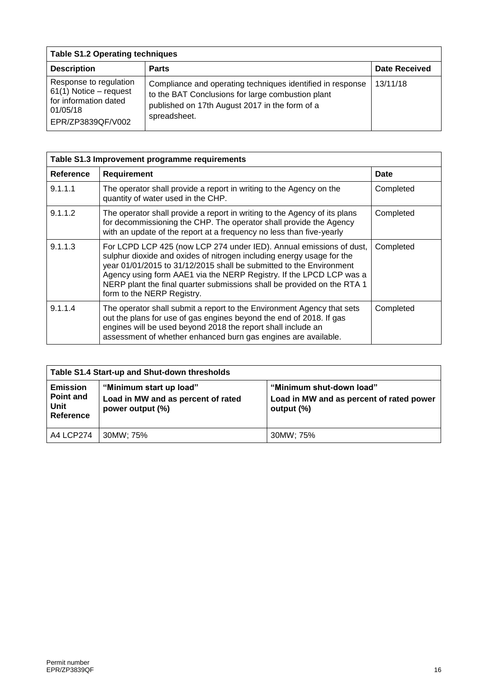| <b>Table S1.2 Operating techniques</b>                                                                     |                                                                                                                                                                                   |                      |  |  |
|------------------------------------------------------------------------------------------------------------|-----------------------------------------------------------------------------------------------------------------------------------------------------------------------------------|----------------------|--|--|
| <b>Description</b>                                                                                         | <b>Parts</b>                                                                                                                                                                      | <b>Date Received</b> |  |  |
| Response to regulation<br>61(1) Notice - request<br>for information dated<br>01/05/18<br>EPR/ZP3839QF/V002 | Compliance and operating techniques identified in response<br>to the BAT Conclusions for large combustion plant<br>published on 17th August 2017 in the form of a<br>spreadsheet. | 13/11/18             |  |  |

| Table S1.3 Improvement programme requirements |                                                                                                                                                                                                                                                                                                                                                                                                     |           |  |  |
|-----------------------------------------------|-----------------------------------------------------------------------------------------------------------------------------------------------------------------------------------------------------------------------------------------------------------------------------------------------------------------------------------------------------------------------------------------------------|-----------|--|--|
| Reference                                     | <b>Requirement</b>                                                                                                                                                                                                                                                                                                                                                                                  | Date      |  |  |
| 9.1.1.1                                       | The operator shall provide a report in writing to the Agency on the<br>quantity of water used in the CHP.                                                                                                                                                                                                                                                                                           | Completed |  |  |
| 9.1.1.2                                       | The operator shall provide a report in writing to the Agency of its plans<br>for decommissioning the CHP. The operator shall provide the Agency<br>with an update of the report at a frequency no less than five-yearly                                                                                                                                                                             | Completed |  |  |
| 9.1.1.3                                       | For LCPD LCP 425 (now LCP 274 under IED). Annual emissions of dust,<br>sulphur dioxide and oxides of nitrogen including energy usage for the<br>year 01/01/2015 to 31/12/2015 shall be submitted to the Environment<br>Agency using form AAE1 via the NERP Registry. If the LPCD LCP was a<br>NERP plant the final quarter submissions shall be provided on the RTA 1<br>form to the NERP Registry. | Completed |  |  |
| 9.1.1.4                                       | The operator shall submit a report to the Environment Agency that sets<br>out the plans for use of gas engines beyond the end of 2018. If gas<br>engines will be used beyond 2018 the report shall include an<br>assessment of whether enhanced burn gas engines are available.                                                                                                                     | Completed |  |  |

| Table S1.4 Start-up and Shut-down thresholds      |                                                                                   |                                                                                    |  |
|---------------------------------------------------|-----------------------------------------------------------------------------------|------------------------------------------------------------------------------------|--|
| <b>Emission</b><br>Point and<br>Unit<br>Reference | "Minimum start up load"<br>Load in MW and as percent of rated<br>power output (%) | "Minimum shut-down load"<br>Load in MW and as percent of rated power<br>output (%) |  |
| A4 LCP274                                         | 30MW; 75%                                                                         | 30MW: 75%                                                                          |  |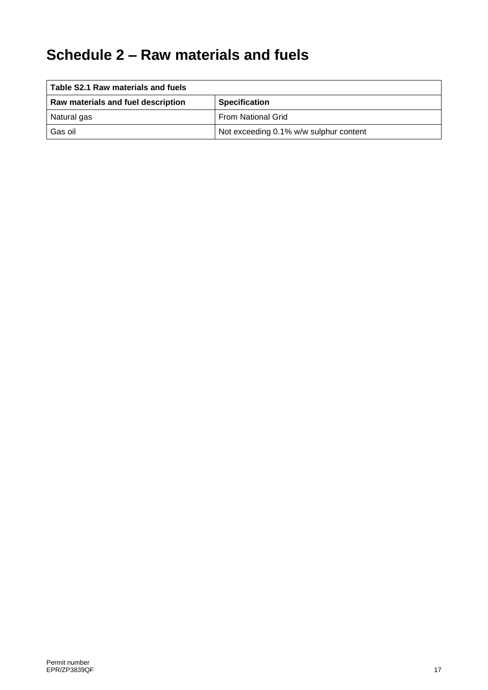## **Schedule 2 – Raw materials and fuels**

| Table S2.1 Raw materials and fuels |                                        |  |  |
|------------------------------------|----------------------------------------|--|--|
| Raw materials and fuel description | <b>Specification</b>                   |  |  |
| Natural gas                        | <b>From National Grid</b>              |  |  |
| Gas oil                            | Not exceeding 0.1% w/w sulphur content |  |  |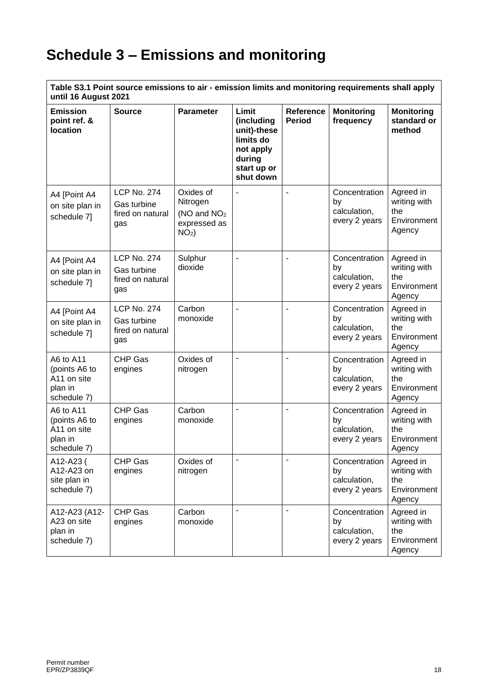# **Schedule 3 – Emissions and monitoring**

**Table S3.1 Point source emissions to air - emission limits and monitoring requirements shall apply until 16 August 2021**

| <b>Emission</b><br>point ref. &<br><b>location</b>                  | <b>Source</b>                                                | <b>Parameter</b>                                                     | Limit<br>(including<br>unit)-these<br>limits do<br>not apply<br>during<br>start up or<br>shut down | <b>Reference</b><br><b>Period</b> | <b>Monitoring</b><br>frequency                       | <b>Monitoring</b><br>standard or<br>method                |
|---------------------------------------------------------------------|--------------------------------------------------------------|----------------------------------------------------------------------|----------------------------------------------------------------------------------------------------|-----------------------------------|------------------------------------------------------|-----------------------------------------------------------|
| A4 [Point A4<br>on site plan in<br>schedule 7]                      | <b>LCP No. 274</b><br>Gas turbine<br>fired on natural<br>gas | Oxides of<br>Nitrogen<br>( $NO$ and $NO2$<br>expressed as<br>$NO2$ ) |                                                                                                    |                                   | Concentration<br>by<br>calculation,<br>every 2 years | Agreed in<br>writing with<br>the<br>Environment<br>Agency |
| A4 [Point A4<br>on site plan in<br>schedule 7]                      | <b>LCP No. 274</b><br>Gas turbine<br>fired on natural<br>gas | Sulphur<br>dioxide                                                   |                                                                                                    |                                   | Concentration<br>by<br>calculation,<br>every 2 years | Agreed in<br>writing with<br>the<br>Environment<br>Agency |
| A4 [Point A4<br>on site plan in<br>schedule 7]                      | <b>LCP No. 274</b><br>Gas turbine<br>fired on natural<br>gas | Carbon<br>monoxide                                                   |                                                                                                    |                                   | Concentration<br>by<br>calculation,<br>every 2 years | Agreed in<br>writing with<br>the<br>Environment<br>Agency |
| A6 to A11<br>(points A6 to<br>A11 on site<br>plan in<br>schedule 7) | <b>CHP Gas</b><br>engines                                    | Oxides of<br>nitrogen                                                | $\blacksquare$                                                                                     | $\overline{a}$                    | Concentration<br>by<br>calculation,<br>every 2 years | Agreed in<br>writing with<br>the<br>Environment<br>Agency |
| A6 to A11<br>(points A6 to<br>A11 on site<br>plan in<br>schedule 7) | CHP Gas<br>engines                                           | Carbon<br>monoxide                                                   |                                                                                                    |                                   | Concentration<br>by<br>calculation,<br>every 2 years | Agreed in<br>writing with<br>the<br>Environment<br>Agency |
| A12-A23 (<br>A12-A23 on<br>site plan in<br>schedule 7)              | CHP Gas<br>engines                                           | Oxides of<br>nitrogen                                                | ÷                                                                                                  |                                   | Concentration<br>by<br>calculation,<br>every 2 years | Agreed in<br>writing with<br>the<br>Environment<br>Agency |
| A12-A23 (A12-<br>A23 on site<br>plan in<br>schedule 7)              | CHP Gas<br>engines                                           | Carbon<br>monoxide                                                   | $\blacksquare$                                                                                     | $\overline{\phantom{a}}$          | Concentration<br>by<br>calculation,<br>every 2 years | Agreed in<br>writing with<br>the<br>Environment<br>Agency |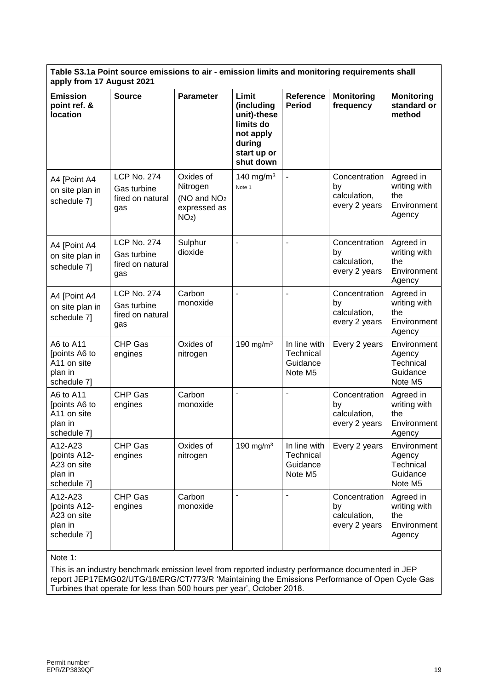| <b>Parameter</b><br>Limit<br><b>Source</b><br><b>Reference</b><br><b>Emission</b><br><b>Monitoring</b><br><b>Monitoring</b><br>point ref. &<br><b>Period</b><br>standard or<br>(including<br>frequency<br><b>location</b><br>unit)-these<br>method<br>limits do<br>not apply<br>during<br>start up or<br>shut down<br><b>LCP No. 274</b><br>Oxides of<br>140 mg/m <sup>3</sup><br>Concentration<br>Agreed in<br>A4 [Point A4<br>writing with<br>Nitrogen<br>by<br>Note 1<br>Gas turbine<br>on site plan in<br>calculation,<br>the | Table S3.1a Point source emissions to air - emission limits and monitoring requirements shall<br>apply from 17 August 2021 |  |  |  |  |  |  |
|-----------------------------------------------------------------------------------------------------------------------------------------------------------------------------------------------------------------------------------------------------------------------------------------------------------------------------------------------------------------------------------------------------------------------------------------------------------------------------------------------------------------------------------|----------------------------------------------------------------------------------------------------------------------------|--|--|--|--|--|--|
|                                                                                                                                                                                                                                                                                                                                                                                                                                                                                                                                   |                                                                                                                            |  |  |  |  |  |  |
| (NO and NO <sub>2</sub><br>fired on natural<br>schedule 7]<br>every 2 years<br>Environment<br>expressed as<br>gas<br>Agency<br>$NO2$ )                                                                                                                                                                                                                                                                                                                                                                                            |                                                                                                                            |  |  |  |  |  |  |
| <b>LCP No. 274</b><br>Sulphur<br>Concentration<br>Agreed in<br>A4 [Point A4<br>dioxide<br>writing with<br>by<br>Gas turbine<br>on site plan in<br>calculation,<br>the<br>fired on natural<br>schedule 7]<br>every 2 years<br>Environment<br>gas<br>Agency                                                                                                                                                                                                                                                                         |                                                                                                                            |  |  |  |  |  |  |
| Agreed in<br><b>LCP No. 274</b><br>Carbon<br>Concentration<br>A4 [Point A4<br>writing with<br>monoxide<br>by<br>Gas turbine<br>on site plan in<br>calculation,<br>the<br>fired on natural<br>schedule 7]<br>Environment<br>every 2 years<br>gas<br>Agency                                                                                                                                                                                                                                                                         |                                                                                                                            |  |  |  |  |  |  |
| A6 to A11<br><b>CHP Gas</b><br>Oxides of<br>190 mg/m $3$<br>In line with<br>Every 2 years<br>Environment<br>points A6 to<br>Technical<br>Agency<br>engines<br>nitrogen<br>Technical<br>A11 on site<br>Guidance<br>Guidance<br>plan in<br>Note M5<br>schedule 7]<br>Note M5                                                                                                                                                                                                                                                        |                                                                                                                            |  |  |  |  |  |  |
| Carbon<br>A6 to A11<br><b>CHP Gas</b><br>$\overline{a}$<br>Concentration<br>Agreed in<br>writing with<br>points A6 to<br>monoxide<br>engines<br>by<br>A11 on site<br>calculation,<br>the<br>plan in<br>every 2 years<br>Environment<br>schedule 7]<br>Agency                                                                                                                                                                                                                                                                      |                                                                                                                            |  |  |  |  |  |  |
| <b>CHP Gas</b><br>Oxides of<br>190 mg/m $3$<br>A12-A23<br>In line with<br>Every 2 years<br>Environment<br>[points A12-<br>Technical<br>Agency<br>engines<br>nitrogen<br>Technical<br>A23 on site<br>Guidance<br>Guidance<br>plan in<br>Note M5<br>Note M5<br>schedule 7]                                                                                                                                                                                                                                                          |                                                                                                                            |  |  |  |  |  |  |
| $\overline{a}$<br><b>CHP Gas</b><br>Carbon<br>A12-A23<br>Concentration<br>Agreed in<br>[points A12-<br>writing with<br>engines<br>monoxide<br>by<br>calculation,<br>A23 on site<br>the<br>plan in<br>every 2 years<br>Environment<br>schedule 7]<br>Agency<br>$N$ nte 1.                                                                                                                                                                                                                                                          |                                                                                                                            |  |  |  |  |  |  |

Note 1:

This is an industry benchmark emission level from reported industry performance documented in JEP report JEP17EMG02/UTG/18/ERG/CT/773/R 'Maintaining the Emissions Performance of Open Cycle Gas Turbines that operate for less than 500 hours per year', October 2018.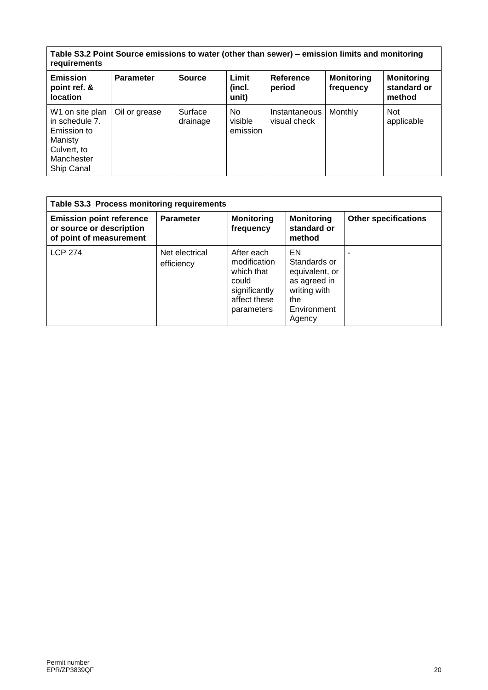| Table S3.2 Point Source emissions to water (other than sewer) – emission limits and monitoring<br>requirements |                  |                     |                            |                               |                                |                                            |
|----------------------------------------------------------------------------------------------------------------|------------------|---------------------|----------------------------|-------------------------------|--------------------------------|--------------------------------------------|
| <b>Emission</b><br>point ref. &<br><b>location</b>                                                             | <b>Parameter</b> | <b>Source</b>       | Limit<br>(incl.<br>unit)   | Reference<br>period           | <b>Monitoring</b><br>frequency | <b>Monitoring</b><br>standard or<br>method |
| W1 on site plan<br>in schedule 7.<br>Emission to<br>Manisty<br>Culvert, to<br>Manchester<br>Ship Canal         | Oil or grease    | Surface<br>drainage | No.<br>visible<br>emission | Instantaneous<br>visual check | Monthly                        | <b>Not</b><br>applicable                   |

| Table S3.3 Process monitoring requirements                                             |                              |                                                                                                  |                                                                                                      |                             |
|----------------------------------------------------------------------------------------|------------------------------|--------------------------------------------------------------------------------------------------|------------------------------------------------------------------------------------------------------|-----------------------------|
| <b>Emission point reference</b><br>or source or description<br>of point of measurement | <b>Parameter</b>             | <b>Monitoring</b><br>frequency                                                                   | <b>Monitoring</b><br>standard or<br>method                                                           | <b>Other specifications</b> |
| <b>LCP 274</b>                                                                         | Net electrical<br>efficiency | After each<br>modification<br>which that<br>could<br>significantly<br>affect these<br>parameters | EN<br>Standards or<br>equivalent, or<br>as agreed in<br>writing with<br>the<br>Environment<br>Agency |                             |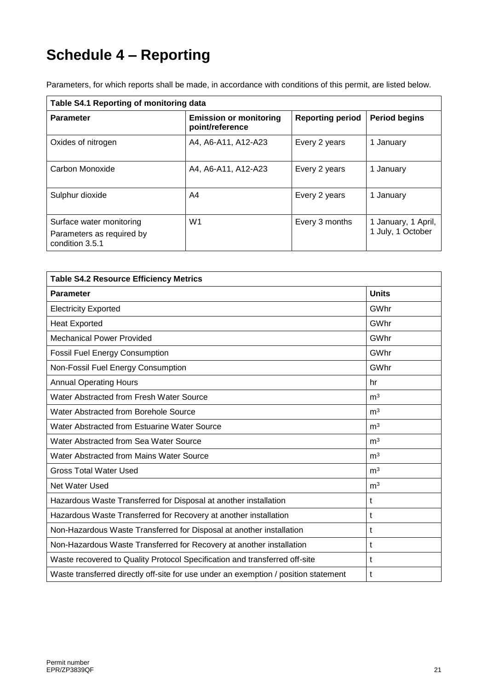# **Schedule 4 – Reporting**

| Table S4.1 Reporting of monitoring data                                  |                                                  |                         |                                          |  |
|--------------------------------------------------------------------------|--------------------------------------------------|-------------------------|------------------------------------------|--|
| <b>Parameter</b>                                                         | <b>Emission or monitoring</b><br>point/reference | <b>Reporting period</b> | <b>Period begins</b>                     |  |
| Oxides of nitrogen                                                       | A4, A6-A11, A12-A23                              | Every 2 years           | 1 January                                |  |
| Carbon Monoxide                                                          | A4, A6-A11, A12-A23                              | Every 2 years           | 1 January                                |  |
| Sulphur dioxide                                                          | A4                                               | Every 2 years           | 1 January                                |  |
| Surface water monitoring<br>Parameters as required by<br>condition 3.5.1 | W <sub>1</sub>                                   | Every 3 months          | 1 January, 1 April,<br>1 July, 1 October |  |

Parameters, for which reports shall be made, in accordance with conditions of this permit, are listed below.

| <b>Table S4.2 Resource Efficiency Metrics</b>                                       |                |  |
|-------------------------------------------------------------------------------------|----------------|--|
| <b>Parameter</b>                                                                    | <b>Units</b>   |  |
| <b>Electricity Exported</b>                                                         | GWhr           |  |
| <b>Heat Exported</b>                                                                | GWhr           |  |
| <b>Mechanical Power Provided</b>                                                    | GWhr           |  |
| <b>Fossil Fuel Energy Consumption</b>                                               | GWhr           |  |
| Non-Fossil Fuel Energy Consumption                                                  | GWhr           |  |
| <b>Annual Operating Hours</b>                                                       | hr             |  |
| Water Abstracted from Fresh Water Source                                            | m <sup>3</sup> |  |
| Water Abstracted from Borehole Source                                               | m <sup>3</sup> |  |
| Water Abstracted from Estuarine Water Source                                        | m <sup>3</sup> |  |
| Water Abstracted from Sea Water Source                                              | m <sup>3</sup> |  |
| Water Abstracted from Mains Water Source                                            | m <sup>3</sup> |  |
| <b>Gross Total Water Used</b>                                                       | m <sup>3</sup> |  |
| Net Water Used                                                                      | m <sup>3</sup> |  |
| Hazardous Waste Transferred for Disposal at another installation                    | t              |  |
| Hazardous Waste Transferred for Recovery at another installation                    | t              |  |
| Non-Hazardous Waste Transferred for Disposal at another installation                | t              |  |
| Non-Hazardous Waste Transferred for Recovery at another installation                | t              |  |
| Waste recovered to Quality Protocol Specification and transferred off-site          | t              |  |
| Waste transferred directly off-site for use under an exemption / position statement | t              |  |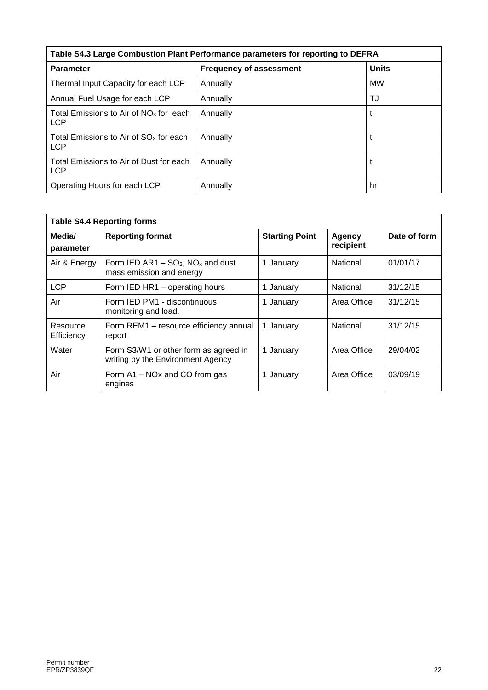| Table S4.3 Large Combustion Plant Performance parameters for reporting to DEFRA |                                |              |  |
|---------------------------------------------------------------------------------|--------------------------------|--------------|--|
| <b>Parameter</b>                                                                | <b>Frequency of assessment</b> | <b>Units</b> |  |
| Thermal Input Capacity for each LCP                                             | Annually                       | <b>MW</b>    |  |
| Annual Fuel Usage for each LCP                                                  | Annually                       | TJ           |  |
| Total Emissions to Air of $NOx$ for each<br><b>LCP</b>                          | Annually                       |              |  |
| Total Emissions to Air of SO <sub>2</sub> for each<br><b>LCP</b>                | Annually                       |              |  |
| Total Emissions to Air of Dust for each<br><b>LCP</b>                           | Annually                       |              |  |
| Operating Hours for each LCP                                                    | Annually                       | hr           |  |

| <b>Table S4.4 Reporting forms</b> |                                                                              |                       |                     |              |
|-----------------------------------|------------------------------------------------------------------------------|-----------------------|---------------------|--------------|
| Media/<br>parameter               | <b>Reporting format</b>                                                      | <b>Starting Point</b> | Agency<br>recipient | Date of form |
| Air & Energy                      | Form IED $AR1 - SO_2$ , NO <sub>x</sub> and dust<br>mass emission and energy | 1 January             | National            | 01/01/17     |
| <b>LCP</b>                        | Form IED HR1 - operating hours                                               | 1 January             | National            | 31/12/15     |
| Air                               | Form IED PM1 - discontinuous<br>monitoring and load.                         | 1 January             | Area Office         | 31/12/15     |
| Resource<br>Efficiency            | Form REM1 - resource efficiency annual<br>report                             | 1 January             | National            | 31/12/15     |
| Water                             | Form S3/W1 or other form as agreed in<br>writing by the Environment Agency   | 1 January             | Area Office         | 29/04/02     |
| Air                               | Form A1 – NOx and CO from gas<br>engines                                     | 1 January             | Area Office         | 03/09/19     |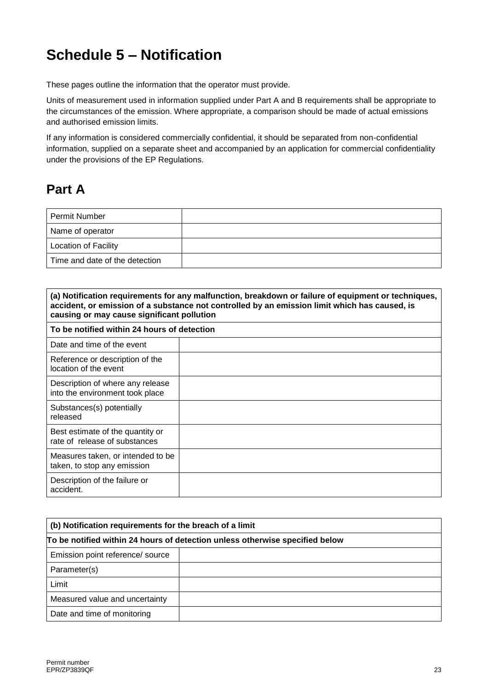## **Schedule 5 – Notification**

These pages outline the information that the operator must provide.

Units of measurement used in information supplied under Part A and B requirements shall be appropriate to the circumstances of the emission. Where appropriate, a comparison should be made of actual emissions and authorised emission limits.

If any information is considered commercially confidential, it should be separated from non-confidential information, supplied on a separate sheet and accompanied by an application for commercial confidentiality under the provisions of the EP Regulations.

## **Part A**

| l Permit Number                |  |
|--------------------------------|--|
| Name of operator               |  |
| <b>Location of Facility</b>    |  |
| Time and date of the detection |  |

| (a) Notification requirements for any malfunction, breakdown or failure of equipment or techniques,<br>accident, or emission of a substance not controlled by an emission limit which has caused, is<br>causing or may cause significant pollution |  |  |  |
|----------------------------------------------------------------------------------------------------------------------------------------------------------------------------------------------------------------------------------------------------|--|--|--|
| To be notified within 24 hours of detection                                                                                                                                                                                                        |  |  |  |
| Date and time of the event                                                                                                                                                                                                                         |  |  |  |
| Reference or description of the<br>location of the event                                                                                                                                                                                           |  |  |  |
| Description of where any release<br>into the environment took place                                                                                                                                                                                |  |  |  |
| Substances(s) potentially<br>released                                                                                                                                                                                                              |  |  |  |
| Best estimate of the quantity or<br>rate of release of substances                                                                                                                                                                                  |  |  |  |
| Measures taken, or intended to be<br>taken, to stop any emission                                                                                                                                                                                   |  |  |  |
| Description of the failure or<br>accident.                                                                                                                                                                                                         |  |  |  |

| (b) Notification requirements for the breach of a limit                      |  |  |
|------------------------------------------------------------------------------|--|--|
| To be notified within 24 hours of detection unless otherwise specified below |  |  |
| Emission point reference/ source                                             |  |  |
| Parameter(s)                                                                 |  |  |
| Limit                                                                        |  |  |
| Measured value and uncertainty                                               |  |  |
| Date and time of monitoring                                                  |  |  |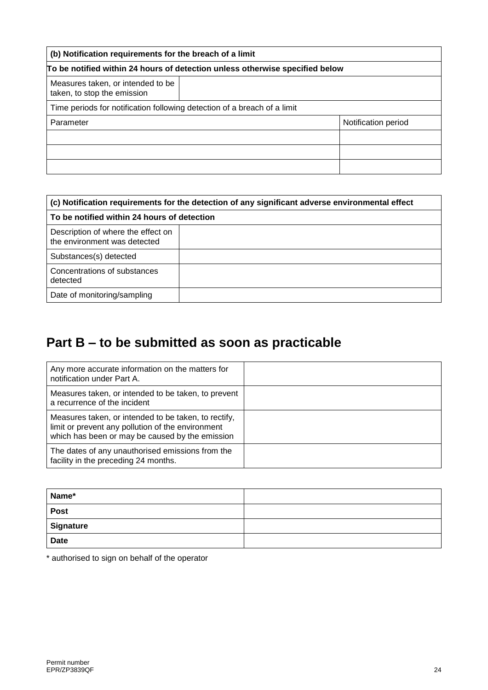| (b) Notification requirements for the breach of a limit                      |  |                     |
|------------------------------------------------------------------------------|--|---------------------|
| To be notified within 24 hours of detection unless otherwise specified below |  |                     |
| Measures taken, or intended to be<br>taken, to stop the emission             |  |                     |
| Time periods for notification following detection of a breach of a limit     |  |                     |
| Parameter                                                                    |  | Notification period |
|                                                                              |  |                     |
|                                                                              |  |                     |
|                                                                              |  |                     |

| (c) Notification requirements for the detection of any significant adverse environmental effect |  |  |
|-------------------------------------------------------------------------------------------------|--|--|
| To be notified within 24 hours of detection                                                     |  |  |
| Description of where the effect on<br>the environment was detected                              |  |  |
| Substances(s) detected                                                                          |  |  |
| Concentrations of substances<br>detected                                                        |  |  |
| Date of monitoring/sampling                                                                     |  |  |

## **Part B – to be submitted as soon as practicable**

| Any more accurate information on the matters for<br>notification under Part A.                                                                               |  |
|--------------------------------------------------------------------------------------------------------------------------------------------------------------|--|
| Measures taken, or intended to be taken, to prevent<br>a recurrence of the incident                                                                          |  |
| Measures taken, or intended to be taken, to rectify,<br>limit or prevent any pollution of the environment<br>which has been or may be caused by the emission |  |
| The dates of any unauthorised emissions from the<br>facility in the preceding 24 months.                                                                     |  |

| Name*       |  |
|-------------|--|
| <b>Post</b> |  |
| Signature   |  |
| <b>Date</b> |  |

\* authorised to sign on behalf of the operator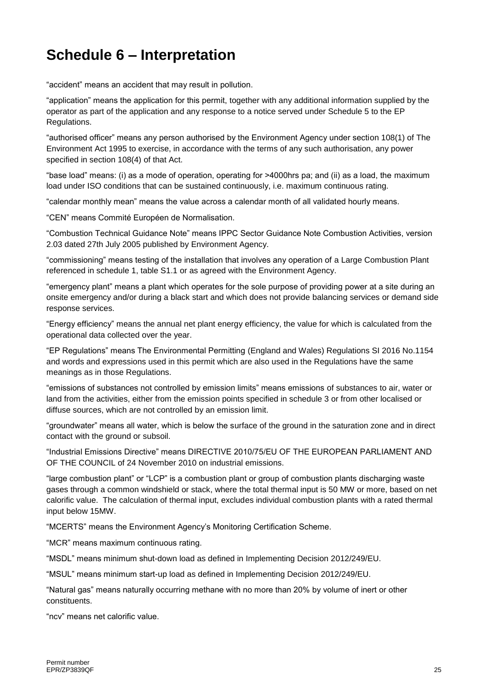## **Schedule 6 – Interpretation**

"accident" means an accident that may result in pollution.

"application" means the application for this permit, together with any additional information supplied by the operator as part of the application and any response to a notice served under Schedule 5 to the EP Regulations.

"authorised officer" means any person authorised by the Environment Agency under section 108(1) of The Environment Act 1995 to exercise, in accordance with the terms of any such authorisation, any power specified in section 108(4) of that Act.

"base load" means: (i) as a mode of operation, operating for >4000hrs pa; and (ii) as a load, the maximum load under ISO conditions that can be sustained continuously, i.e. maximum continuous rating.

"calendar monthly mean" means the value across a calendar month of all validated hourly means.

"CEN" means Commité Européen de Normalisation.

"Combustion Technical Guidance Note" means IPPC Sector Guidance Note Combustion Activities, version 2.03 dated 27th July 2005 published by Environment Agency.

"commissioning" means testing of the installation that involves any operation of a Large Combustion Plant referenced in schedule 1, table S1.1 or as agreed with the Environment Agency.

"emergency plant" means a plant which operates for the sole purpose of providing power at a site during an onsite emergency and/or during a black start and which does not provide balancing services or demand side response services.

"Energy efficiency" means the annual net plant energy efficiency, the value for which is calculated from the operational data collected over the year.

"EP Regulations" means The Environmental Permitting (England and Wales) Regulations SI 2016 No.1154 and words and expressions used in this permit which are also used in the Regulations have the same meanings as in those Regulations.

"emissions of substances not controlled by emission limits" means emissions of substances to air, water or land from the activities, either from the emission points specified in schedule 3 or from other localised or diffuse sources, which are not controlled by an emission limit.

"groundwater" means all water, which is below the surface of the ground in the saturation zone and in direct contact with the ground or subsoil.

"Industrial Emissions Directive" means DIRECTIVE 2010/75/EU OF THE EUROPEAN PARLIAMENT AND OF THE COUNCIL of 24 November 2010 on industrial emissions.

"large combustion plant" or "LCP" is a combustion plant or group of combustion plants discharging waste gases through a common windshield or stack, where the total thermal input is 50 MW or more, based on net calorific value. The calculation of thermal input, excludes individual combustion plants with a rated thermal input below 15MW.

"MCERTS" means the Environment Agency's Monitoring Certification Scheme.

"MCR" means maximum continuous rating.

"MSDL" means minimum shut-down load as defined in Implementing Decision 2012/249/EU.

"MSUL" means minimum start-up load as defined in Implementing Decision 2012/249/EU.

"Natural gas" means naturally occurring methane with no more than 20% by volume of inert or other constituents.

"ncv" means net calorific value.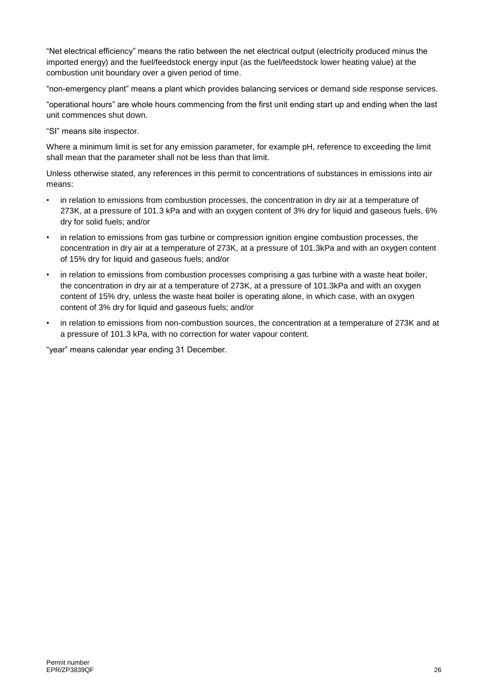"Net electrical efficiency" means the ratio between the net electrical output (electricity produced minus the imported energy) and the fuel/feedstock energy input (as the fuel/feedstock lower heating value) at the combustion unit boundary over a given period of time.

"non-emergency plant" means a plant which provides balancing services or demand side response services.

"operational hours" are whole hours commencing from the first unit ending start up and ending when the last unit commences shut down.

"SI" means site inspector.

Where a minimum limit is set for any emission parameter, for example pH, reference to exceeding the limit shall mean that the parameter shall not be less than that limit.

Unless otherwise stated, any references in this permit to concentrations of substances in emissions into air means:

- in relation to emissions from combustion processes, the concentration in dry air at a temperature of 273K, at a pressure of 101.3 kPa and with an oxygen content of 3% dry for liquid and gaseous fuels, 6% dry for solid fuels; and/or
- in relation to emissions from gas turbine or compression ignition engine combustion processes, the concentration in dry air at a temperature of 273K, at a pressure of 101.3kPa and with an oxygen content of 15% dry for liquid and gaseous fuels; and/or
- in relation to emissions from combustion processes comprising a gas turbine with a waste heat boiler, the concentration in dry air at a temperature of 273K, at a pressure of 101.3kPa and with an oxygen content of 15% dry, unless the waste heat boiler is operating alone, in which case, with an oxygen content of 3% dry for liquid and gaseous fuels; and/or
- in relation to emissions from non-combustion sources, the concentration at a temperature of 273K and at a pressure of 101.3 kPa, with no correction for water vapour content.

"year" means calendar year ending 31 December.